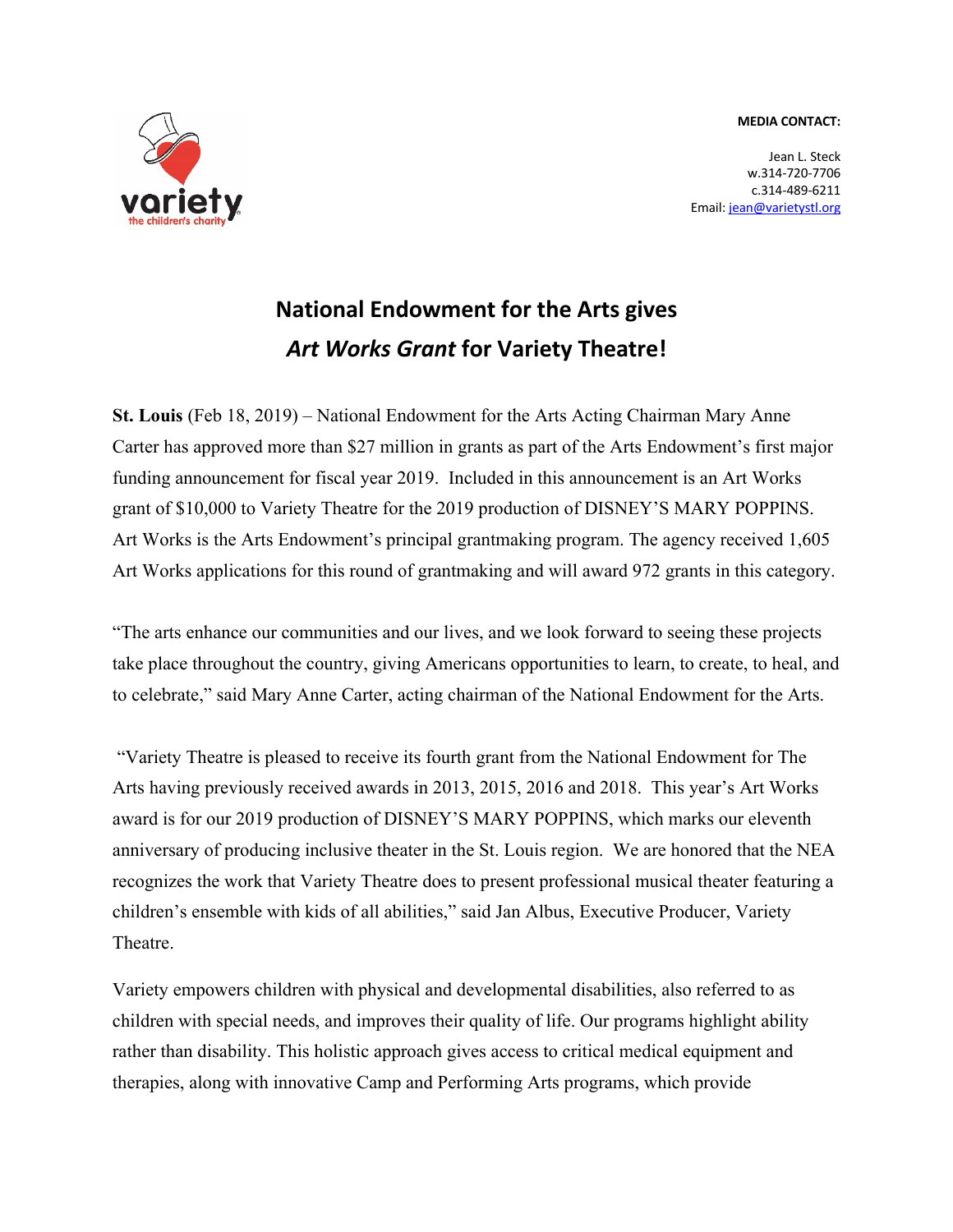**MEDIA CONTACT:**



Jean L. Steck w.314-720-7706 c.314-489-6211 Email: jean@varietystl.org

## **National Endowment for the Arts gives**  *Art Works Grant* **for Variety Theatre!**

**St. Louis** (Feb 18, 2019) – National Endowment for the Arts Acting Chairman Mary Anne Carter has approved more than \$27 million in grants as part of the Arts Endowment's first major funding announcement for fiscal year 2019. Included in this announcement is an Art Works grant of \$10,000 to Variety Theatre for the 2019 production of DISNEY'S MARY POPPINS. Art Works is the Arts Endowment's principal grantmaking program. The agency received 1,605 Art Works applications for this round of grantmaking and will award 972 grants in this category.

"The arts enhance our communities and our lives, and we look forward to seeing these projects take place throughout the country, giving Americans opportunities to learn, to create, to heal, and to celebrate," said Mary Anne Carter, acting chairman of the National Endowment for the Arts.

"Variety Theatre is pleased to receive its fourth grant from the National Endowment for The Arts having previously received awards in 2013, 2015, 2016 and 2018. This year's Art Works award is for our 2019 production of DISNEY'S MARY POPPINS, which marks our eleventh anniversary of producing inclusive theater in the St. Louis region. We are honored that the NEA recognizes the work that Variety Theatre does to present professional musical theater featuring a children's ensemble with kids of all abilities," said Jan Albus, Executive Producer, Variety Theatre.

Variety empowers children with physical and developmental disabilities, also referred to as children with special needs, and improves their quality of life. Our programs highlight ability rather than disability. This holistic approach gives access to critical medical equipment and therapies, along with innovative Camp and Performing Arts programs, which provide